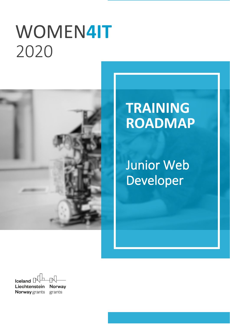# WOMEN**4IT** `2020



## **TRAINING ROADMAP**

Junior Web Developer

Iceland  $\Box$ Liechtenstein **Norway Norway** grants grants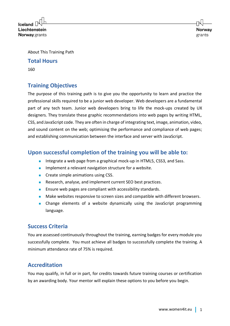**Iceland** Liechtenstein **Norway** grants

About This Training Path

### **Total Hours**

160

## **Training Objectives**

The purpose of this training path is to give you the opportunity to learn and practice the professional skills required to be a junior web developer. Web developers are a fundamental part of any tech team. Junior web developers bring to life the mock-ups created by UX designers. They translate these graphic recommendations into web pages by writing HTML, CSS, and JavaScript code. They are often in charge of integrating text, image, animation, video, and sound content on the web; optimising the performance and compliance of web pages; and establishing communication between the interface and server with JavaScript.

## **Upon successful completion of the training you will be able to:**

- Integrate a web page from a graphical mock-up in HTML5, CSS3, and Sass.
- Implement a relevant navigation structure for a website.
- Create simple animations using CSS.
- Research, analyse, and implement current SEO best practices.
- Ensure web pages are compliant with accessibility standards.
- Make websites responsive to screen sizes and compatible with different browsers.
- Change elements of a website dynamically using the JavaScript programming language.

## **Success Criteria**

You are assessed continuously throughout the training, earning badges for every module you successfully complete. You must achieve all badges to successfully complete the training. A minimum attendance rate of 75% is required.

## **Accreditation**

You may qualify, in full or in part, for credits towards future training courses or certification by an awarding body. Your mentor will explain these options to you before you begin.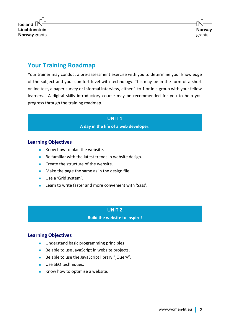

## **Your Training Roadmap**

Your trainer may conduct a pre-assessment exercise with you to determine your knowledge of the subject and your comfort level with technology. This may be in the form of a short online test, a paper survey or informal interview, either 1 to 1 or in a group with your fellow learners. A digital skills introductory course may be recommended for you to help you progress through the training roadmap.

> **UNIT 1 A day in the life of a web developer.**

#### **Learning Objectives**

- Know how to plan the website.
- Be familiar with the latest trends in website design.
- Create the structure of the website.
- Make the page the same as in the design file.
- Use a 'Grid system'.
- Learn to write faster and more convenient with 'Sass'

#### **UNIT 2**

**Build the website to inspire!**

#### **Learning Objectives**

- Understand basic programming principles.
- Be able to use JavaScript in website projects.
- Be able to use the JavaScript library "jQuery".
- Use SEO techniques.
- Know how to optimise a website.